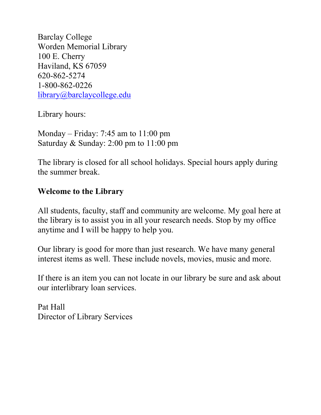Barclay College Worden Memorial Library 100 E. Cherry Haviland, KS 67059 620-862-5274 1-800-862-0226 [library@barclaycollege.edu](mailto:library@barclaycollege.edu)

Library hours:

Monday – Friday: 7:45 am to 11:00 pm Saturday & Sunday: 2:00 pm to 11:00 pm

The library is closed for all school holidays. Special hours apply during the summer break.

# **Welcome to the Library**

All students, faculty, staff and community are welcome. My goal here at the library is to assist you in all your research needs. Stop by my office anytime and I will be happy to help you.

Our library is good for more than just research. We have many general interest items as well. These include novels, movies, music and more.

If there is an item you can not locate in our library be sure and ask about our interlibrary loan services.

Pat Hall Director of Library Services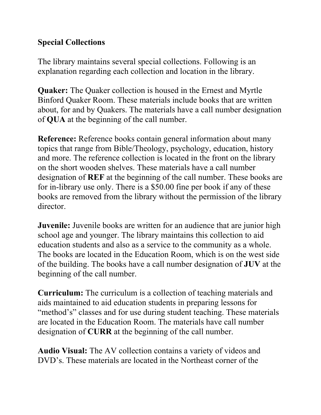### **Special Collections**

The library maintains several special collections. Following is an explanation regarding each collection and location in the library.

**Quaker:** The Quaker collection is housed in the Ernest and Myrtle Binford Quaker Room. These materials include books that are written about, for and by Quakers. The materials have a call number designation of **QUA** at the beginning of the call number.

**Reference:** Reference books contain general information about many topics that range from Bible/Theology, psychology, education, history and more. The reference collection is located in the front on the library on the short wooden shelves. These materials have a call number designation of **REF** at the beginning of the call number. These books are for in-library use only. There is a \$50.00 fine per book if any of these books are removed from the library without the permission of the library director.

**Juvenile:** Juvenile books are written for an audience that are junior high school age and younger. The library maintains this collection to aid education students and also as a service to the community as a whole. The books are located in the Education Room, which is on the west side of the building. The books have a call number designation of **JUV** at the beginning of the call number.

**Curriculum:** The curriculum is a collection of teaching materials and aids maintained to aid education students in preparing lessons for "method's" classes and for use during student teaching. These materials are located in the Education Room. The materials have call number designation of **CURR** at the beginning of the call number.

**Audio Visual:** The AV collection contains a variety of videos and DVD's. These materials are located in the Northeast corner of the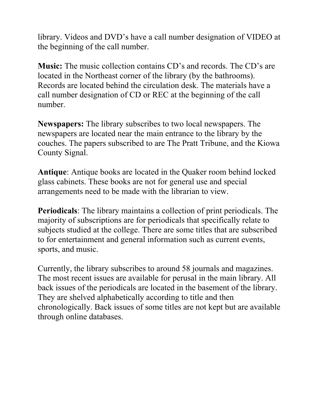library. Videos and DVD's have a call number designation of VIDEO at the beginning of the call number.

**Music:** The music collection contains CD's and records. The CD's are located in the Northeast corner of the library (by the bathrooms). Records are located behind the circulation desk. The materials have a call number designation of CD or REC at the beginning of the call number.

**Newspapers:** The library subscribes to two local newspapers. The newspapers are located near the main entrance to the library by the couches. The papers subscribed to are The Pratt Tribune, and the Kiowa County Signal.

**Antique**: Antique books are located in the Quaker room behind locked glass cabinets. These books are not for general use and special arrangements need to be made with the librarian to view.

**Periodicals**: The library maintains a collection of print periodicals. The majority of subscriptions are for periodicals that specifically relate to subjects studied at the college. There are some titles that are subscribed to for entertainment and general information such as current events, sports, and music.

Currently, the library subscribes to around 58 journals and magazines. The most recent issues are available for perusal in the main library. All back issues of the periodicals are located in the basement of the library. They are shelved alphabetically according to title and then chronologically. Back issues of some titles are not kept but are available through online databases.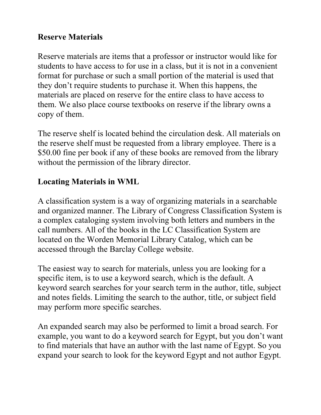#### **Reserve Materials**

Reserve materials are items that a professor or instructor would like for students to have access to for use in a class, but it is not in a convenient format for purchase or such a small portion of the material is used that they don't require students to purchase it. When this happens, the materials are placed on reserve for the entire class to have access to them. We also place course textbooks on reserve if the library owns a copy of them.

The reserve shelf is located behind the circulation desk. All materials on the reserve shelf must be requested from a library employee. There is a \$50.00 fine per book if any of these books are removed from the library without the permission of the library director.

# **Locating Materials in WML**

A classification system is a way of organizing materials in a searchable and organized manner. The Library of Congress Classification System is a complex cataloging system involving both letters and numbers in the call numbers. All of the books in the LC Classification System are located on the Worden Memorial Library Catalog, which can be accessed through the Barclay College website.

The easiest way to search for materials, unless you are looking for a specific item, is to use a keyword search, which is the default. A keyword search searches for your search term in the author, title, subject and notes fields. Limiting the search to the author, title, or subject field may perform more specific searches.

An expanded search may also be performed to limit a broad search. For example, you want to do a keyword search for Egypt, but you don't want to find materials that have an author with the last name of Egypt. So you expand your search to look for the keyword Egypt and not author Egypt.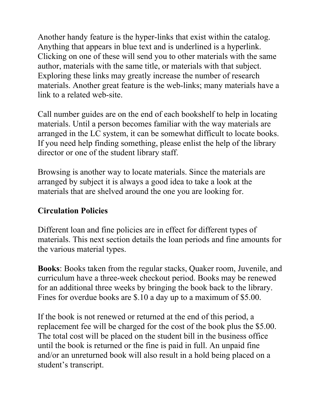Another handy feature is the hyper-links that exist within the catalog. Anything that appears in blue text and is underlined is a hyperlink. Clicking on one of these will send you to other materials with the same author, materials with the same title, or materials with that subject. Exploring these links may greatly increase the number of research materials. Another great feature is the web-links; many materials have a link to a related web-site.

Call number guides are on the end of each bookshelf to help in locating materials. Until a person becomes familiar with the way materials are arranged in the LC system, it can be somewhat difficult to locate books. If you need help finding something, please enlist the help of the library director or one of the student library staff.

Browsing is another way to locate materials. Since the materials are arranged by subject it is always a good idea to take a look at the materials that are shelved around the one you are looking for.

#### **Circulation Policies**

Different loan and fine policies are in effect for different types of materials. This next section details the loan periods and fine amounts for the various material types.

**Books**: Books taken from the regular stacks, Quaker room, Juvenile, and curriculum have a three-week checkout period. Books may be renewed for an additional three weeks by bringing the book back to the library. Fines for overdue books are \$.10 a day up to a maximum of \$5.00.

If the book is not renewed or returned at the end of this period, a replacement fee will be charged for the cost of the book plus the \$5.00. The total cost will be placed on the student bill in the business office until the book is returned or the fine is paid in full. An unpaid fine and/or an unreturned book will also result in a hold being placed on a student's transcript.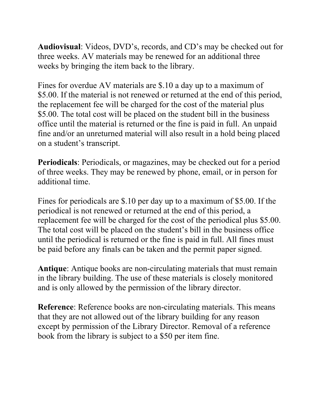**Audiovisual**: Videos, DVD's, records, and CD's may be checked out for three weeks. AV materials may be renewed for an additional three weeks by bringing the item back to the library.

Fines for overdue AV materials are \$.10 a day up to a maximum of \$5.00. If the material is not renewed or returned at the end of this period, the replacement fee will be charged for the cost of the material plus \$5.00. The total cost will be placed on the student bill in the business office until the material is returned or the fine is paid in full. An unpaid fine and/or an unreturned material will also result in a hold being placed on a student's transcript.

**Periodicals**: Periodicals, or magazines, may be checked out for a period of three weeks. They may be renewed by phone, email, or in person for additional time.

Fines for periodicals are \$.10 per day up to a maximum of \$5.00. If the periodical is not renewed or returned at the end of this period, a replacement fee will be charged for the cost of the periodical plus \$5.00. The total cost will be placed on the student's bill in the business office until the periodical is returned or the fine is paid in full. All fines must be paid before any finals can be taken and the permit paper signed.

**Antique**: Antique books are non-circulating materials that must remain in the library building. The use of these materials is closely monitored and is only allowed by the permission of the library director.

**Reference**: Reference books are non-circulating materials. This means that they are not allowed out of the library building for any reason except by permission of the Library Director. Removal of a reference book from the library is subject to a \$50 per item fine.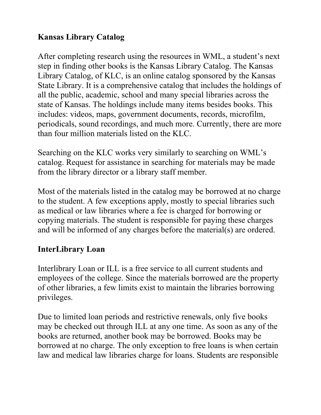# **Kansas Library Catalog**

After completing research using the resources in WML, a student's next step in finding other books is the Kansas Library Catalog. The Kansas Library Catalog, of KLC, is an online catalog sponsored by the Kansas State Library. It is a comprehensive catalog that includes the holdings of all the public, academic, school and many special libraries across the state of Kansas. The holdings include many items besides books. This includes: videos, maps, government documents, records, microfilm, periodicals, sound recordings, and much more. Currently, there are more than four million materials listed on the KLC.

Searching on the KLC works very similarly to searching on WML's catalog. Request for assistance in searching for materials may be made from the library director or a library staff member.

Most of the materials listed in the catalog may be borrowed at no charge to the student. A few exceptions apply, mostly to special libraries such as medical or law libraries where a fee is charged for borrowing or copying materials. The student is responsible for paying these charges and will be informed of any charges before the material(s) are ordered.

#### **InterLibrary Loan**

Interlibrary Loan or ILL is a free service to all current students and employees of the college. Since the materials borrowed are the property of other libraries, a few limits exist to maintain the libraries borrowing privileges.

Due to limited loan periods and restrictive renewals, only five books may be checked out through ILL at any one time. As soon as any of the books are returned, another book may be borrowed. Books may be borrowed at no charge. The only exception to free loans is when certain law and medical law libraries charge for loans. Students are responsible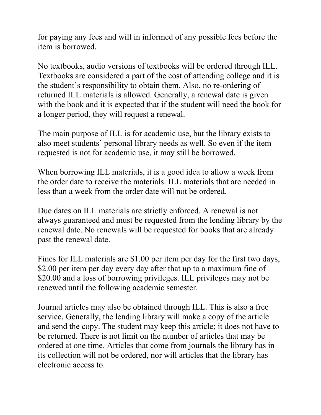for paying any fees and will in informed of any possible fees before the item is borrowed.

No textbooks, audio versions of textbooks will be ordered through ILL. Textbooks are considered a part of the cost of attending college and it is the student's responsibility to obtain them. Also, no re-ordering of returned ILL materials is allowed. Generally, a renewal date is given with the book and it is expected that if the student will need the book for a longer period, they will request a renewal.

The main purpose of ILL is for academic use, but the library exists to also meet students' personal library needs as well. So even if the item requested is not for academic use, it may still be borrowed.

When borrowing ILL materials, it is a good idea to allow a week from the order date to receive the materials. ILL materials that are needed in less than a week from the order date will not be ordered.

Due dates on ILL materials are strictly enforced. A renewal is not always guaranteed and must be requested from the lending library by the renewal date. No renewals will be requested for books that are already past the renewal date.

Fines for ILL materials are \$1.00 per item per day for the first two days, \$2.00 per item per day every day after that up to a maximum fine of \$20.00 and a loss of borrowing privileges. ILL privileges may not be renewed until the following academic semester.

Journal articles may also be obtained through ILL. This is also a free service. Generally, the lending library will make a copy of the article and send the copy. The student may keep this article; it does not have to be returned. There is not limit on the number of articles that may be ordered at one time. Articles that come from journals the library has in its collection will not be ordered, nor will articles that the library has electronic access to.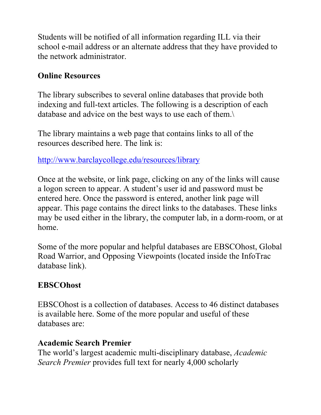Students will be notified of all information regarding ILL via their school e-mail address or an alternate address that they have provided to the network administrator.

## **Online Resources**

The library subscribes to several online databases that provide both indexing and full-text articles. The following is a description of each database and advice on the best ways to use each of them.\

The library maintains a web page that contains links to all of the resources described here. The link is:

<http://www.barclaycollege.edu/resources/library>

Once at the website, or link page, clicking on any of the links will cause a logon screen to appear. A student's user id and password must be entered here. Once the password is entered, another link page will appear. This page contains the direct links to the databases. These links may be used either in the library, the computer lab, in a dorm-room, or at home.

Some of the more popular and helpful databases are EBSCOhost, Global Road Warrior, and Opposing Viewpoints (located inside the InfoTrac database link).

#### **EBSCOhost**

EBSCOhost is a collection of databases. Access to 46 distinct databases is available here. Some of the more popular and useful of these databases are:

#### **Academic Search Premier**

The world's largest academic multi-disciplinary database, *Academic Search Premier* provides full text for nearly 4,000 scholarly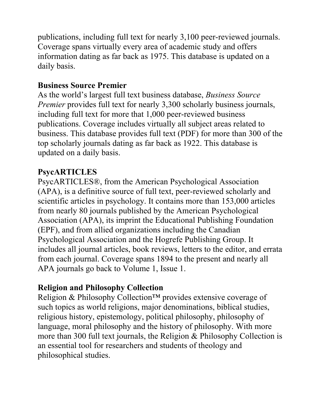publications, including full text for nearly 3,100 peer-reviewed journals. Coverage spans virtually every area of academic study and offers information dating as far back as 1975. This database is updated on a daily basis.

#### **Business Source Premier**

As the world's largest full text business database, *Business Source Premier* provides full text for nearly 3,300 scholarly business journals, including full text for more that 1,000 peer-reviewed business publications. Coverage includes virtually all subject areas related to business. This database provides full text (PDF) for more than 300 of the top scholarly journals dating as far back as 1922. This database is updated on a daily basis.

### **PsycARTICLES**

PsycARTICLES®, from the American Psychological Association (APA), is a definitive source of full text, peer-reviewed scholarly and scientific articles in psychology. It contains more than 153,000 articles from nearly 80 journals published by the American Psychological Association (APA), its imprint the Educational Publishing Foundation (EPF), and from allied organizations including the Canadian Psychological Association and the Hogrefe Publishing Group. It includes all journal articles, book reviews, letters to the editor, and errata from each journal. Coverage spans 1894 to the present and nearly all APA journals go back to Volume 1, Issue 1.

#### **Religion and Philosophy Collection**

Religion & Philosophy Collection<sup>™</sup> provides extensive coverage of such topics as world religions, major denominations, biblical studies, religious history, epistemology, political philosophy, philosophy of language, moral philosophy and the history of philosophy. With more more than 300 full text journals, the Religion & Philosophy Collection is an essential tool for researchers and students of theology and philosophical studies.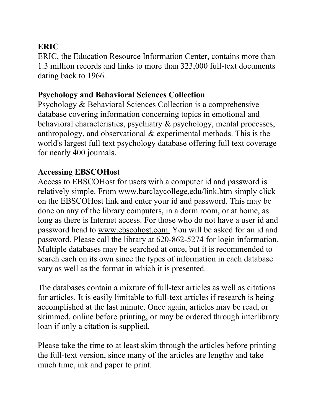# **ERIC**

ERIC, the Education Resource Information Center, contains more than 1.3 million records and links to more than 323,000 full-text documents dating back to 1966.

#### **Psychology and Behavioral Sciences Collection**

Psychology & Behavioral Sciences Collection is a comprehensive database covering information concerning topics in emotional and behavioral characteristics, psychiatry & psychology, mental processes, anthropology, and observational & experimental methods. This is the world's largest full text psychology database offering full text coverage for nearly 400 journals.

# **Accessing EBSCOHost**

Access to EBSCOHost for users with a computer id and password is relatively simple. From [www.barclaycollege,edu/link.htm](http://www.barclaycollege,edu/link.htm) simply click on the EBSCOHost link and enter your id and password. This may be done on any of the library computers, in a dorm room, or at home, as long as there is Internet access. For those who do not have a user id and password head to [www.ebscohost.com](http://www.ebscohost.com). You will be asked for an id and password. Please call the library at 620-862-5274 for login information. Multiple databases may be searched at once, but it is recommended to search each on its own since the types of information in each database vary as well as the format in which it is presented.

The databases contain a mixture of full-text articles as well as citations for articles. It is easily limitable to full-text articles if research is being accomplished at the last minute. Once again, articles may be read, or skimmed, online before printing, or may be ordered through interlibrary loan if only a citation is supplied.

Please take the time to at least skim through the articles before printing the full-text version, since many of the articles are lengthy and take much time, ink and paper to print.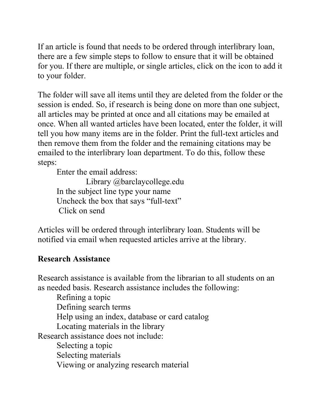If an article is found that needs to be ordered through interlibrary loan, there are a few simple steps to follow to ensure that it will be obtained for you. If there are multiple, or single articles, click on the icon to add it to your folder.

The folder will save all items until they are deleted from the folder or the session is ended. So, if research is being done on more than one subject, all articles may be printed at once and all citations may be emailed at once. When all wanted articles have been located, enter the folder, it will tell you how many items are in the folder. Print the full-text articles and then remove them from the folder and the remaining citations may be emailed to the interlibrary loan department. To do this, follow these steps:

Enter the email address:

Library @barclaycollege.edu In the subject line type your name Uncheck the box that says "full-text" Click on send

Articles will be ordered through interlibrary loan. Students will be notified via email when requested articles arrive at the library.

#### **Research Assistance**

Research assistance is available from the librarian to all students on an as needed basis. Research assistance includes the following:

Refining a topic Defining search terms Help using an index, database or card catalog Locating materials in the library Research assistance does not include: Selecting a topic Selecting materials Viewing or analyzing research material